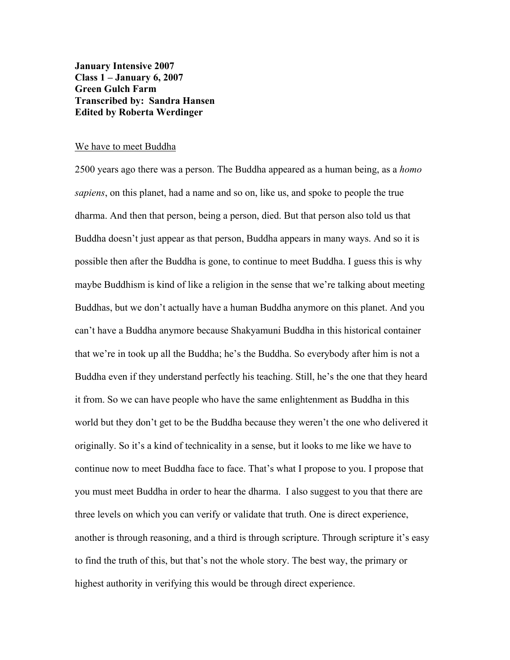**January Intensive 2007 Class 1 – January 6, 2007 Green Gulch Farm Transcribed by: Sandra Hansen Edited by Roberta Werdinger**

#### We have to meet Buddha

2500 years ago there was a person. The Buddha appeared as a human being, as a *homo sapiens*, on this planet, had a name and so on, like us, and spoke to people the true dharma. And then that person, being a person, died. But that person also told us that Buddha doesn't just appear as that person, Buddha appears in many ways. And so it is possible then after the Buddha is gone, to continue to meet Buddha. I guess this is why maybe Buddhism is kind of like a religion in the sense that we're talking about meeting Buddhas, but we don't actually have a human Buddha anymore on this planet. And you can't have a Buddha anymore because Shakyamuni Buddha in this historical container that we're in took up all the Buddha; he's the Buddha. So everybody after him is not a Buddha even if they understand perfectly his teaching. Still, he's the one that they heard it from. So we can have people who have the same enlightenment as Buddha in this world but they don't get to be the Buddha because they weren't the one who delivered it originally. So it's a kind of technicality in a sense, but it looks to me like we have to continue now to meet Buddha face to face. That's what I propose to you. I propose that you must meet Buddha in order to hear the dharma. I also suggest to you that there are three levels on which you can verify or validate that truth. One is direct experience, another is through reasoning, and a third is through scripture. Through scripture it's easy to find the truth of this, but that's not the whole story. The best way, the primary or highest authority in verifying this would be through direct experience.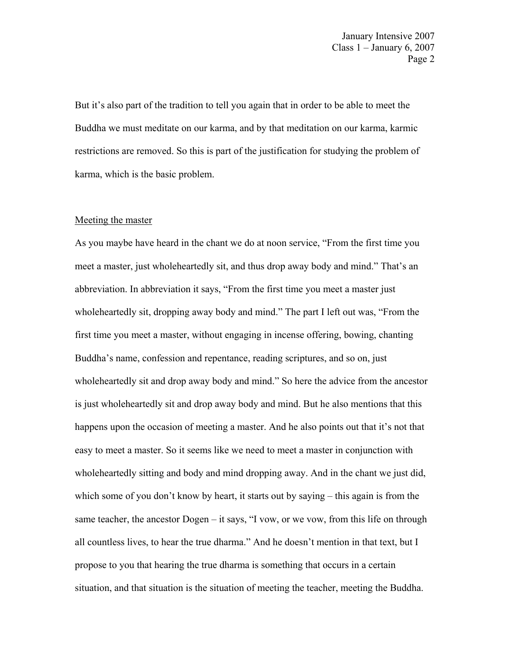But it's also part of the tradition to tell you again that in order to be able to meet the Buddha we must meditate on our karma, and by that meditation on our karma, karmic restrictions are removed. So this is part of the justification for studying the problem of karma, which is the basic problem.

## Meeting the master

As you maybe have heard in the chant we do at noon service, "From the first time you meet a master, just wholeheartedly sit, and thus drop away body and mind." That's an abbreviation. In abbreviation it says, "From the first time you meet a master just wholeheartedly sit, dropping away body and mind." The part I left out was, "From the first time you meet a master, without engaging in incense offering, bowing, chanting Buddha's name, confession and repentance, reading scriptures, and so on, just wholeheartedly sit and drop away body and mind." So here the advice from the ancestor is just wholeheartedly sit and drop away body and mind. But he also mentions that this happens upon the occasion of meeting a master. And he also points out that it's not that easy to meet a master. So it seems like we need to meet a master in conjunction with wholeheartedly sitting and body and mind dropping away. And in the chant we just did, which some of you don't know by heart, it starts out by saying – this again is from the same teacher, the ancestor Dogen – it says, "I vow, or we vow, from this life on through all countless lives, to hear the true dharma." And he doesn't mention in that text, but I propose to you that hearing the true dharma is something that occurs in a certain situation, and that situation is the situation of meeting the teacher, meeting the Buddha.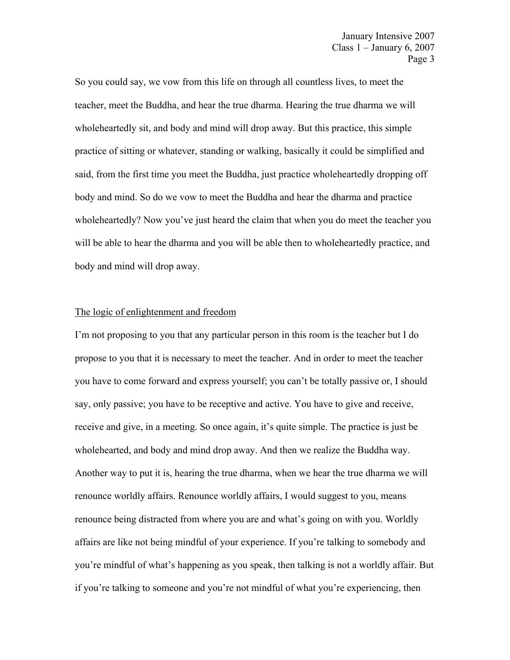So you could say, we vow from this life on through all countless lives, to meet the teacher, meet the Buddha, and hear the true dharma. Hearing the true dharma we will wholeheartedly sit, and body and mind will drop away. But this practice, this simple practice of sitting or whatever, standing or walking, basically it could be simplified and said, from the first time you meet the Buddha, just practice wholeheartedly dropping off body and mind. So do we vow to meet the Buddha and hear the dharma and practice wholeheartedly? Now you've just heard the claim that when you do meet the teacher you will be able to hear the dharma and you will be able then to wholeheartedly practice, and body and mind will drop away.

# The logic of enlightenment and freedom

I'm not proposing to you that any particular person in this room is the teacher but I do propose to you that it is necessary to meet the teacher. And in order to meet the teacher you have to come forward and express yourself; you can't be totally passive or, I should say, only passive; you have to be receptive and active. You have to give and receive, receive and give, in a meeting. So once again, it's quite simple. The practice is just be wholehearted, and body and mind drop away. And then we realize the Buddha way. Another way to put it is, hearing the true dharma, when we hear the true dharma we will renounce worldly affairs. Renounce worldly affairs, I would suggest to you, means renounce being distracted from where you are and what's going on with you. Worldly affairs are like not being mindful of your experience. If you're talking to somebody and you're mindful of what's happening as you speak, then talking is not a worldly affair. But if you're talking to someone and you're not mindful of what you're experiencing, then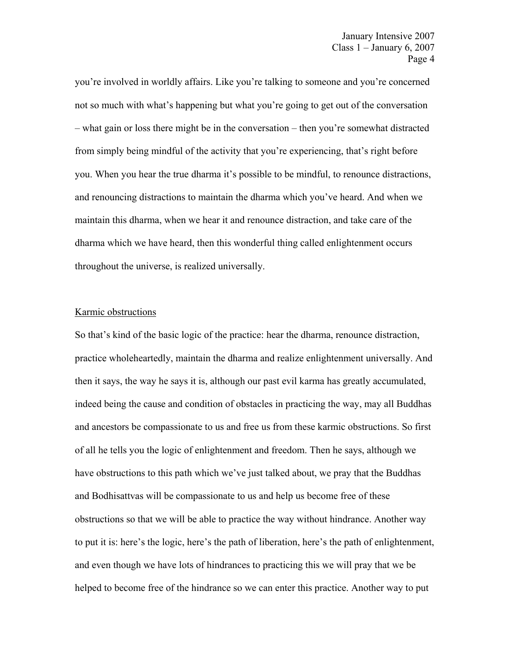you're involved in worldly affairs. Like you're talking to someone and you're concerned not so much with what's happening but what you're going to get out of the conversation – what gain or loss there might be in the conversation – then you're somewhat distracted from simply being mindful of the activity that you're experiencing, that's right before you. When you hear the true dharma it's possible to be mindful, to renounce distractions, and renouncing distractions to maintain the dharma which you've heard. And when we maintain this dharma, when we hear it and renounce distraction, and take care of the dharma which we have heard, then this wonderful thing called enlightenment occurs throughout the universe, is realized universally.

## Karmic obstructions

So that's kind of the basic logic of the practice: hear the dharma, renounce distraction, practice wholeheartedly, maintain the dharma and realize enlightenment universally. And then it says, the way he says it is, although our past evil karma has greatly accumulated, indeed being the cause and condition of obstacles in practicing the way, may all Buddhas and ancestors be compassionate to us and free us from these karmic obstructions. So first of all he tells you the logic of enlightenment and freedom. Then he says, although we have obstructions to this path which we've just talked about, we pray that the Buddhas and Bodhisattvas will be compassionate to us and help us become free of these obstructions so that we will be able to practice the way without hindrance. Another way to put it is: here's the logic, here's the path of liberation, here's the path of enlightenment, and even though we have lots of hindrances to practicing this we will pray that we be helped to become free of the hindrance so we can enter this practice. Another way to put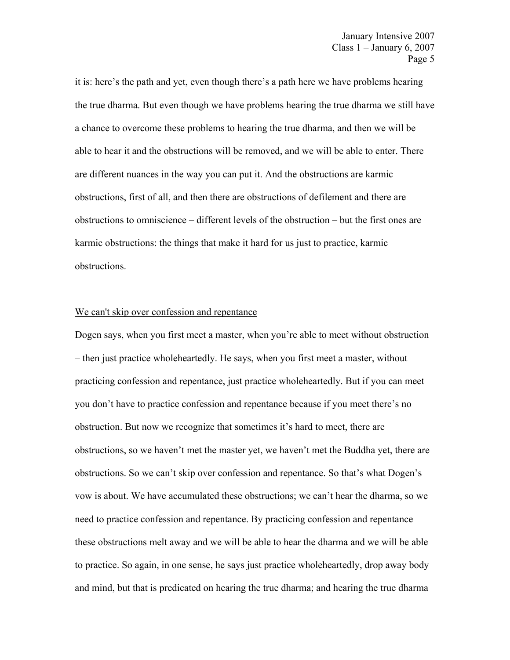it is: here's the path and yet, even though there's a path here we have problems hearing the true dharma. But even though we have problems hearing the true dharma we still have a chance to overcome these problems to hearing the true dharma, and then we will be able to hear it and the obstructions will be removed, and we will be able to enter. There are different nuances in the way you can put it. And the obstructions are karmic obstructions, first of all, and then there are obstructions of defilement and there are obstructions to omniscience – different levels of the obstruction – but the first ones are karmic obstructions: the things that make it hard for us just to practice, karmic obstructions.

#### We can't skip over confession and repentance

Dogen says, when you first meet a master, when you're able to meet without obstruction – then just practice wholeheartedly. He says, when you first meet a master, without practicing confession and repentance, just practice wholeheartedly. But if you can meet you don't have to practice confession and repentance because if you meet there's no obstruction. But now we recognize that sometimes it's hard to meet, there are obstructions, so we haven't met the master yet, we haven't met the Buddha yet, there are obstructions. So we can't skip over confession and repentance. So that's what Dogen's vow is about. We have accumulated these obstructions; we can't hear the dharma, so we need to practice confession and repentance. By practicing confession and repentance these obstructions melt away and we will be able to hear the dharma and we will be able to practice. So again, in one sense, he says just practice wholeheartedly, drop away body and mind, but that is predicated on hearing the true dharma; and hearing the true dharma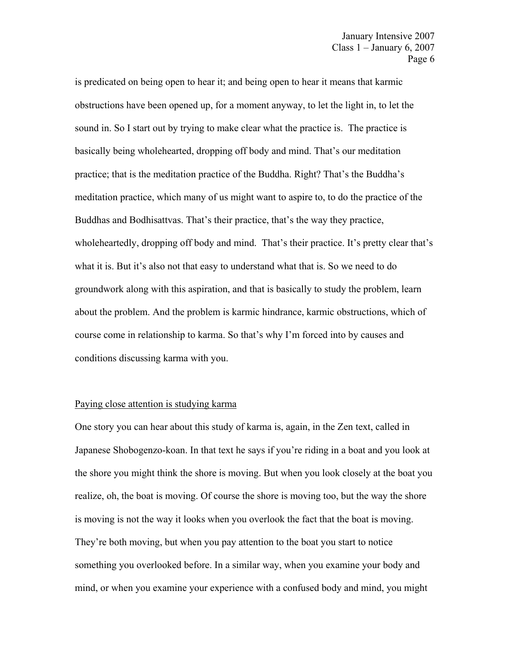is predicated on being open to hear it; and being open to hear it means that karmic obstructions have been opened up, for a moment anyway, to let the light in, to let the sound in. So I start out by trying to make clear what the practice is. The practice is basically being wholehearted, dropping off body and mind. That's our meditation practice; that is the meditation practice of the Buddha. Right? That's the Buddha's meditation practice, which many of us might want to aspire to, to do the practice of the Buddhas and Bodhisattvas. That's their practice, that's the way they practice, wholeheartedly, dropping off body and mind. That's their practice. It's pretty clear that's what it is. But it's also not that easy to understand what that is. So we need to do groundwork along with this aspiration, and that is basically to study the problem, learn about the problem. And the problem is karmic hindrance, karmic obstructions, which of course come in relationship to karma. So that's why I'm forced into by causes and conditions discussing karma with you.

# Paying close attention is studying karma

One story you can hear about this study of karma is, again, in the Zen text, called in Japanese Shobogenzo-koan. In that text he says if you're riding in a boat and you look at the shore you might think the shore is moving. But when you look closely at the boat you realize, oh, the boat is moving. Of course the shore is moving too, but the way the shore is moving is not the way it looks when you overlook the fact that the boat is moving. They're both moving, but when you pay attention to the boat you start to notice something you overlooked before. In a similar way, when you examine your body and mind, or when you examine your experience with a confused body and mind, you might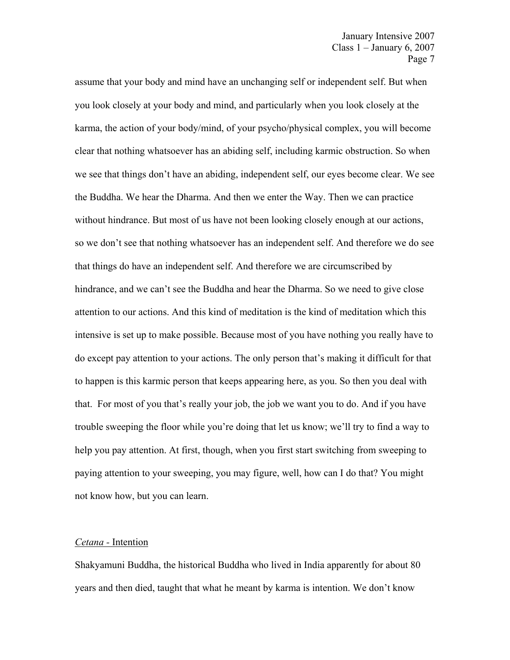assume that your body and mind have an unchanging self or independent self. But when you look closely at your body and mind, and particularly when you look closely at the karma, the action of your body/mind, of your psycho/physical complex, you will become clear that nothing whatsoever has an abiding self, including karmic obstruction. So when we see that things don't have an abiding, independent self, our eyes become clear. We see the Buddha. We hear the Dharma. And then we enter the Way. Then we can practice without hindrance. But most of us have not been looking closely enough at our actions, so we don't see that nothing whatsoever has an independent self. And therefore we do see that things do have an independent self. And therefore we are circumscribed by hindrance, and we can't see the Buddha and hear the Dharma. So we need to give close attention to our actions. And this kind of meditation is the kind of meditation which this intensive is set up to make possible. Because most of you have nothing you really have to do except pay attention to your actions. The only person that's making it difficult for that to happen is this karmic person that keeps appearing here, as you. So then you deal with that. For most of you that's really your job, the job we want you to do. And if you have trouble sweeping the floor while you're doing that let us know; we'll try to find a way to help you pay attention. At first, though, when you first start switching from sweeping to paying attention to your sweeping, you may figure, well, how can I do that? You might not know how, but you can learn.

## *Cetana -* Intention

Shakyamuni Buddha, the historical Buddha who lived in India apparently for about 80 years and then died, taught that what he meant by karma is intention. We don't know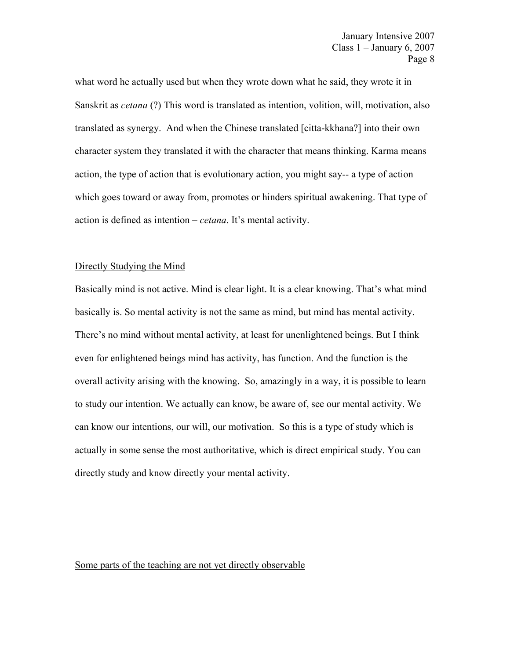what word he actually used but when they wrote down what he said, they wrote it in Sanskrit as *cetana* (?) This word is translated as intention, volition, will, motivation, also translated as synergy. And when the Chinese translated [citta-kkhana?] into their own character system they translated it with the character that means thinking. Karma means action, the type of action that is evolutionary action, you might say-- a type of action which goes toward or away from, promotes or hinders spiritual awakening. That type of action is defined as intention – *cetana*. It's mental activity.

#### Directly Studying the Mind

Basically mind is not active. Mind is clear light. It is a clear knowing. That's what mind basically is. So mental activity is not the same as mind, but mind has mental activity. There's no mind without mental activity, at least for unenlightened beings. But I think even for enlightened beings mind has activity, has function. And the function is the overall activity arising with the knowing. So, amazingly in a way, it is possible to learn to study our intention. We actually can know, be aware of, see our mental activity. We can know our intentions, our will, our motivation. So this is a type of study which is actually in some sense the most authoritative, which is direct empirical study. You can directly study and know directly your mental activity.

## Some parts of the teaching are not yet directly observable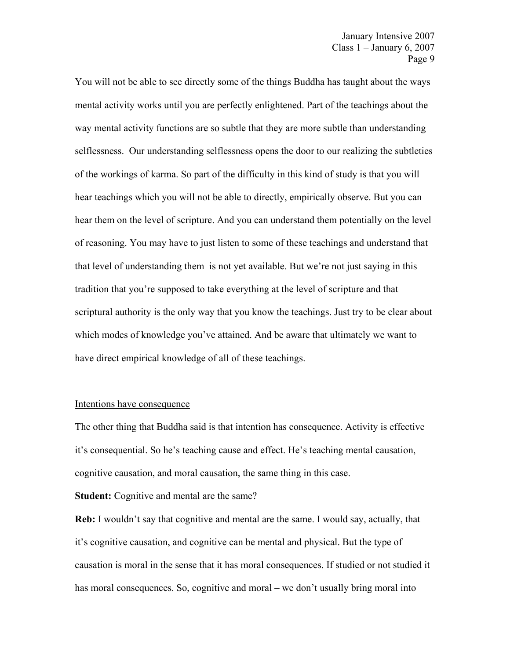You will not be able to see directly some of the things Buddha has taught about the ways mental activity works until you are perfectly enlightened. Part of the teachings about the way mental activity functions are so subtle that they are more subtle than understanding selflessness. Our understanding selflessness opens the door to our realizing the subtleties of the workings of karma. So part of the difficulty in this kind of study is that you will hear teachings which you will not be able to directly, empirically observe. But you can hear them on the level of scripture. And you can understand them potentially on the level of reasoning. You may have to just listen to some of these teachings and understand that that level of understanding them is not yet available. But we're not just saying in this tradition that you're supposed to take everything at the level of scripture and that scriptural authority is the only way that you know the teachings. Just try to be clear about which modes of knowledge you've attained. And be aware that ultimately we want to have direct empirical knowledge of all of these teachings.

### Intentions have consequence

The other thing that Buddha said is that intention has consequence. Activity is effective it's consequential. So he's teaching cause and effect. He's teaching mental causation, cognitive causation, and moral causation, the same thing in this case.

# **Student:** Cognitive and mental are the same?

**Reb:** I wouldn't say that cognitive and mental are the same. I would say, actually, that it's cognitive causation, and cognitive can be mental and physical. But the type of causation is moral in the sense that it has moral consequences. If studied or not studied it has moral consequences. So, cognitive and moral – we don't usually bring moral into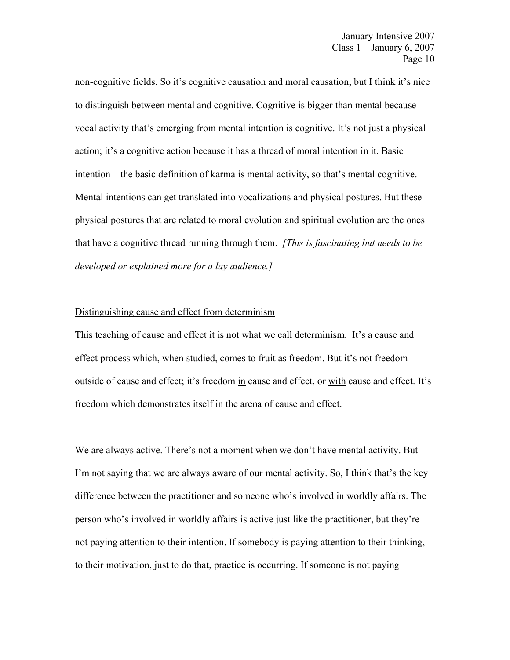non-cognitive fields. So it's cognitive causation and moral causation, but I think it's nice to distinguish between mental and cognitive. Cognitive is bigger than mental because vocal activity that's emerging from mental intention is cognitive. It's not just a physical action; it's a cognitive action because it has a thread of moral intention in it. Basic intention – the basic definition of karma is mental activity, so that's mental cognitive. Mental intentions can get translated into vocalizations and physical postures. But these physical postures that are related to moral evolution and spiritual evolution are the ones that have a cognitive thread running through them. *[This is fascinating but needs to be developed or explained more for a lay audience.]* 

## Distinguishing cause and effect from determinism

This teaching of cause and effect it is not what we call determinism. It's a cause and effect process which, when studied, comes to fruit as freedom. But it's not freedom outside of cause and effect; it's freedom in cause and effect, or with cause and effect. It's freedom which demonstrates itself in the arena of cause and effect.

We are always active. There's not a moment when we don't have mental activity. But I'm not saying that we are always aware of our mental activity. So, I think that's the key difference between the practitioner and someone who's involved in worldly affairs. The person who's involved in worldly affairs is active just like the practitioner, but they're not paying attention to their intention. If somebody is paying attention to their thinking, to their motivation, just to do that, practice is occurring. If someone is not paying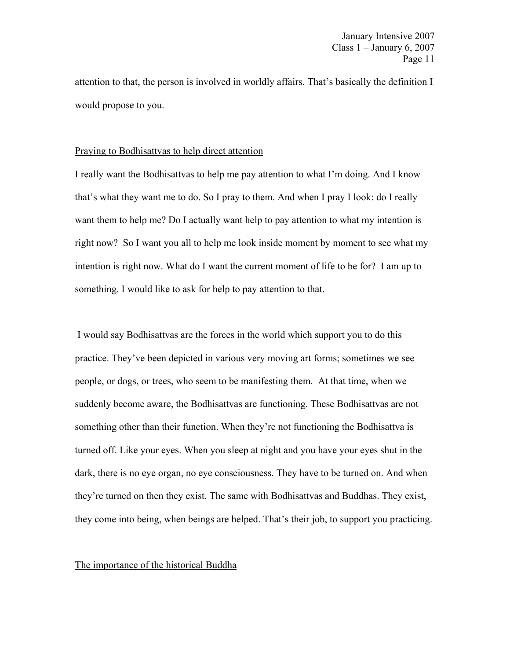attention to that, the person is involved in worldly affairs. That's basically the definition I would propose to you.

# Praying to Bodhisattvas to help direct attention

I really want the Bodhisattvas to help me pay attention to what I'm doing. And I know that's what they want me to do. So I pray to them. And when I pray I look: do I really want them to help me? Do I actually want help to pay attention to what my intention is right now? So I want you all to help me look inside moment by moment to see what my intention is right now. What do I want the current moment of life to be for? I am up to something. I would like to ask for help to pay attention to that.

I would say Bodhisattvas are the forces in the world which support you to do this practice. They've been depicted in various very moving art forms; sometimes we see people, or dogs, or trees, who seem to be manifesting them. At that time, when we suddenly become aware, the Bodhisattvas are functioning. These Bodhisattvas are not something other than their function. When they're not functioning the Bodhisattva is turned off. Like your eyes. When you sleep at night and you have your eyes shut in the dark, there is no eye organ, no eye consciousness. They have to be turned on. And when they're turned on then they exist. The same with Bodhisattvas and Buddhas. They exist, they come into being, when beings are helped. That's their job, to support you practicing.

## The importance of the historical Buddha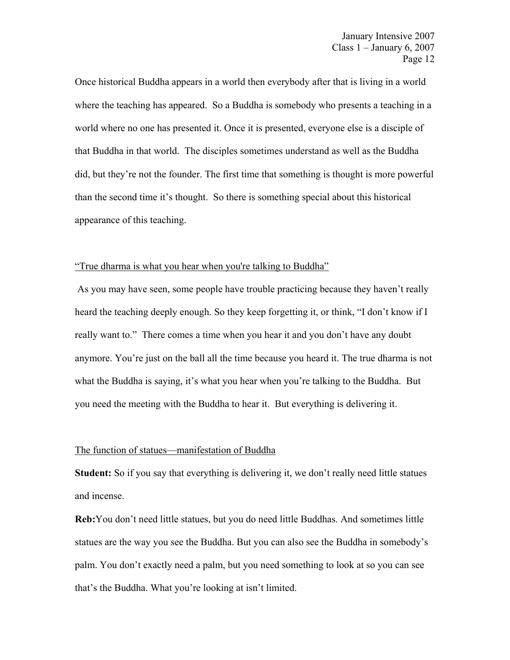Once historical Buddha appears in a world then everybody after that is living in a world where the teaching has appeared. So a Buddha is somebody who presents a teaching in a world where no one has presented it. Once it is presented, everyone else is a disciple of that Buddha in that world. The disciples sometimes understand as well as the Buddha did, but they're not the founder. The first time that something is thought is more powerful than the second time it's thought. So there is something special about this historical appearance of this teaching.

#### "True dharma is what you hear when you're talking to Buddha"

 As you may have seen, some people have trouble practicing because they haven't really heard the teaching deeply enough. So they keep forgetting it, or think, "I don't know if I really want to." There comes a time when you hear it and you don't have any doubt anymore. You're just on the ball all the time because you heard it. The true dharma is not what the Buddha is saying, it's what you hear when you're talking to the Buddha. But you need the meeting with the Buddha to hear it. But everything is delivering it.

## The function of statues—manifestation of Buddha

**Student:** So if you say that everything is delivering it, we don't really need little statues and incense.

**Reb:**You don't need little statues, but you do need little Buddhas. And sometimes little statues are the way you see the Buddha. But you can also see the Buddha in somebody's palm. You don't exactly need a palm, but you need something to look at so you can see that's the Buddha. What you're looking at isn't limited.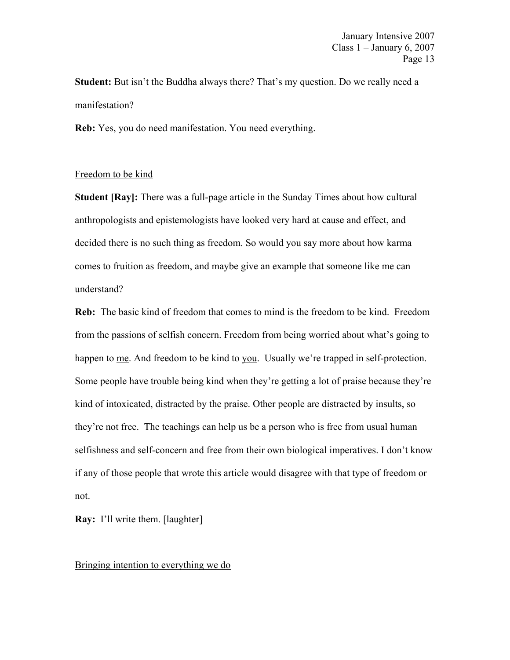**Student:** But isn't the Buddha always there? That's my question. Do we really need a manifestation?

**Reb:** Yes, you do need manifestation. You need everything.

## Freedom to be kind

**Student [Ray]:** There was a full-page article in the Sunday Times about how cultural anthropologists and epistemologists have looked very hard at cause and effect, and decided there is no such thing as freedom. So would you say more about how karma comes to fruition as freedom, and maybe give an example that someone like me can understand?

**Reb:** The basic kind of freedom that comes to mind is the freedom to be kind. Freedom from the passions of selfish concern. Freedom from being worried about what's going to happen to me. And freedom to be kind to you. Usually we're trapped in self-protection. Some people have trouble being kind when they're getting a lot of praise because they're kind of intoxicated, distracted by the praise. Other people are distracted by insults, so they're not free. The teachings can help us be a person who is free from usual human selfishness and self-concern and free from their own biological imperatives. I don't know if any of those people that wrote this article would disagree with that type of freedom or not.

**Ray:** I'll write them. [laughter]

## Bringing intention to everything we do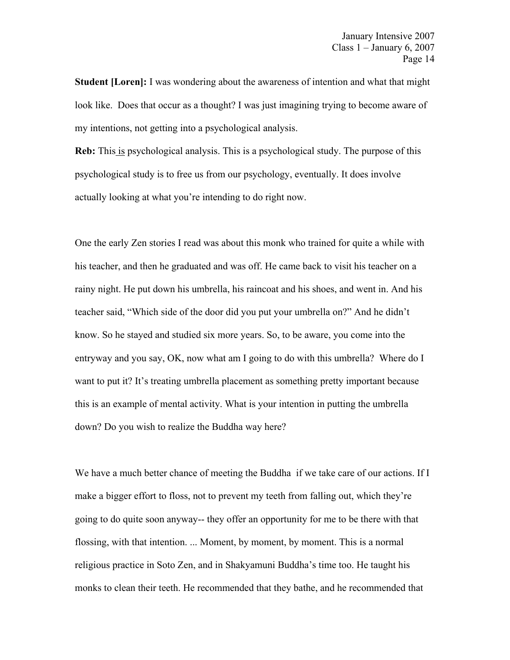**Student [Loren]:** I was wondering about the awareness of intention and what that might look like. Does that occur as a thought? I was just imagining trying to become aware of my intentions, not getting into a psychological analysis.

**Reb:** This is psychological analysis. This is a psychological study. The purpose of this psychological study is to free us from our psychology, eventually. It does involve actually looking at what you're intending to do right now.

One the early Zen stories I read was about this monk who trained for quite a while with his teacher, and then he graduated and was off. He came back to visit his teacher on a rainy night. He put down his umbrella, his raincoat and his shoes, and went in. And his teacher said, "Which side of the door did you put your umbrella on?" And he didn't know. So he stayed and studied six more years. So, to be aware, you come into the entryway and you say, OK, now what am I going to do with this umbrella? Where do I want to put it? It's treating umbrella placement as something pretty important because this is an example of mental activity. What is your intention in putting the umbrella down? Do you wish to realize the Buddha way here?

We have a much better chance of meeting the Buddha if we take care of our actions. If I make a bigger effort to floss, not to prevent my teeth from falling out, which they're going to do quite soon anyway-- they offer an opportunity for me to be there with that flossing, with that intention. ... Moment, by moment, by moment. This is a normal religious practice in Soto Zen, and in Shakyamuni Buddha's time too. He taught his monks to clean their teeth. He recommended that they bathe, and he recommended that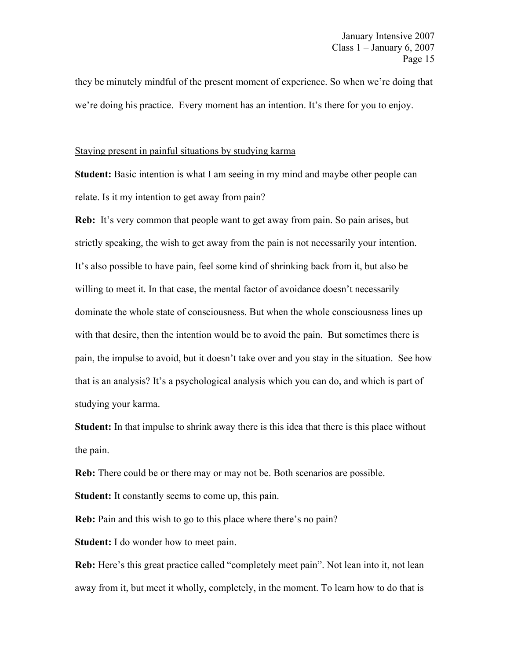they be minutely mindful of the present moment of experience. So when we're doing that we're doing his practice. Every moment has an intention. It's there for you to enjoy.

# Staying present in painful situations by studying karma

**Student:** Basic intention is what I am seeing in my mind and maybe other people can relate. Is it my intention to get away from pain?

**Reb:** It's very common that people want to get away from pain. So pain arises, but strictly speaking, the wish to get away from the pain is not necessarily your intention. It's also possible to have pain, feel some kind of shrinking back from it, but also be willing to meet it. In that case, the mental factor of avoidance doesn't necessarily dominate the whole state of consciousness. But when the whole consciousness lines up with that desire, then the intention would be to avoid the pain. But sometimes there is pain, the impulse to avoid, but it doesn't take over and you stay in the situation. See how that is an analysis? It's a psychological analysis which you can do, and which is part of studying your karma.

**Student:** In that impulse to shrink away there is this idea that there is this place without the pain.

**Reb:** There could be or there may or may not be. Both scenarios are possible.

**Student:** It constantly seems to come up, this pain.

**Reb:** Pain and this wish to go to this place where there's no pain?

**Student:** I do wonder how to meet pain.

**Reb:** Here's this great practice called "completely meet pain". Not lean into it, not lean away from it, but meet it wholly, completely, in the moment. To learn how to do that is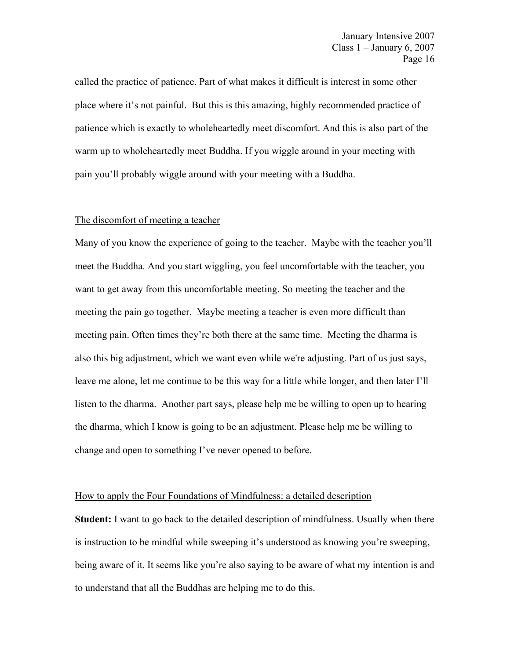called the practice of patience. Part of what makes it difficult is interest in some other place where it's not painful. But this is this amazing, highly recommended practice of patience which is exactly to wholeheartedly meet discomfort. And this is also part of the warm up to wholeheartedly meet Buddha. If you wiggle around in your meeting with pain you'll probably wiggle around with your meeting with a Buddha.

#### The discomfort of meeting a teacher

Many of you know the experience of going to the teacher. Maybe with the teacher you'll meet the Buddha. And you start wiggling, you feel uncomfortable with the teacher, you want to get away from this uncomfortable meeting. So meeting the teacher and the meeting the pain go together. Maybe meeting a teacher is even more difficult than meeting pain. Often times they're both there at the same time. Meeting the dharma is also this big adjustment, which we want even while we're adjusting. Part of us just says, leave me alone, let me continue to be this way for a little while longer, and then later I'll listen to the dharma. Another part says, please help me be willing to open up to hearing the dharma, which I know is going to be an adjustment. Please help me be willing to change and open to something I've never opened to before.

#### How to apply the Four Foundations of Mindfulness: a detailed description

**Student:** I want to go back to the detailed description of mindfulness. Usually when there is instruction to be mindful while sweeping it's understood as knowing you're sweeping, being aware of it. It seems like you're also saying to be aware of what my intention is and to understand that all the Buddhas are helping me to do this.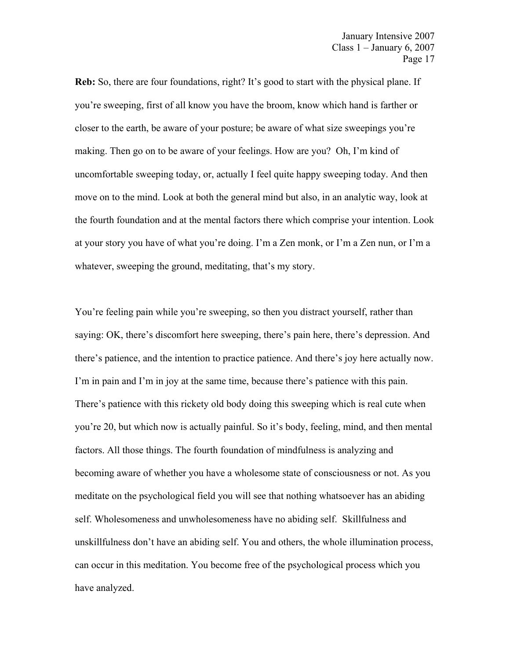**Reb:** So, there are four foundations, right? It's good to start with the physical plane. If you're sweeping, first of all know you have the broom, know which hand is farther or closer to the earth, be aware of your posture; be aware of what size sweepings you're making. Then go on to be aware of your feelings. How are you? Oh, I'm kind of uncomfortable sweeping today, or, actually I feel quite happy sweeping today. And then move on to the mind. Look at both the general mind but also, in an analytic way, look at the fourth foundation and at the mental factors there which comprise your intention. Look at your story you have of what you're doing. I'm a Zen monk, or I'm a Zen nun, or I'm a whatever, sweeping the ground, meditating, that's my story.

You're feeling pain while you're sweeping, so then you distract yourself, rather than saying: OK, there's discomfort here sweeping, there's pain here, there's depression. And there's patience, and the intention to practice patience. And there's joy here actually now. I'm in pain and I'm in joy at the same time, because there's patience with this pain. There's patience with this rickety old body doing this sweeping which is real cute when you're 20, but which now is actually painful. So it's body, feeling, mind, and then mental factors. All those things. The fourth foundation of mindfulness is analyzing and becoming aware of whether you have a wholesome state of consciousness or not. As you meditate on the psychological field you will see that nothing whatsoever has an abiding self. Wholesomeness and unwholesomeness have no abiding self. Skillfulness and unskillfulness don't have an abiding self. You and others, the whole illumination process, can occur in this meditation. You become free of the psychological process which you have analyzed.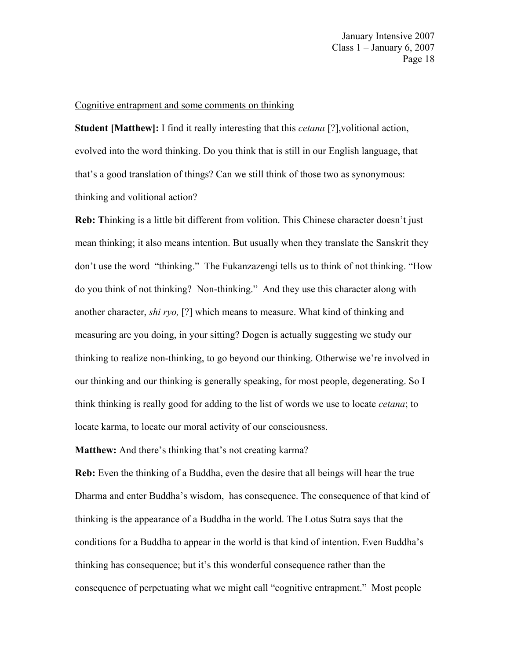January Intensive 2007 Class  $1 -$  January 6, 2007 Page 18

#### Cognitive entrapment and some comments on thinking

**Student [Matthew]:** I find it really interesting that this *cetana* [?],volitional action, evolved into the word thinking. Do you think that is still in our English language, that that's a good translation of things? Can we still think of those two as synonymous: thinking and volitional action?

**Reb: T**hinking is a little bit different from volition. This Chinese character doesn't just mean thinking; it also means intention. But usually when they translate the Sanskrit they don't use the word "thinking." The Fukanzazengi tells us to think of not thinking. "How do you think of not thinking? Non-thinking." And they use this character along with another character, *shi ryo,* [?] which means to measure. What kind of thinking and measuring are you doing, in your sitting? Dogen is actually suggesting we study our thinking to realize non-thinking, to go beyond our thinking. Otherwise we're involved in our thinking and our thinking is generally speaking, for most people, degenerating. So I think thinking is really good for adding to the list of words we use to locate *cetana*; to locate karma, to locate our moral activity of our consciousness.

**Matthew:** And there's thinking that's not creating karma?

**Reb:** Even the thinking of a Buddha, even the desire that all beings will hear the true Dharma and enter Buddha's wisdom, has consequence. The consequence of that kind of thinking is the appearance of a Buddha in the world. The Lotus Sutra says that the conditions for a Buddha to appear in the world is that kind of intention. Even Buddha's thinking has consequence; but it's this wonderful consequence rather than the consequence of perpetuating what we might call "cognitive entrapment." Most people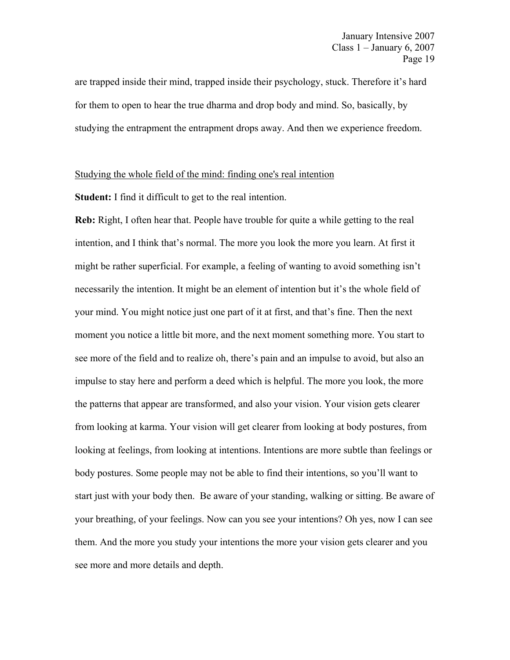are trapped inside their mind, trapped inside their psychology, stuck. Therefore it's hard for them to open to hear the true dharma and drop body and mind. So, basically, by studying the entrapment the entrapment drops away. And then we experience freedom.

## Studying the whole field of the mind: finding one's real intention

**Student:** I find it difficult to get to the real intention.

**Reb:** Right, I often hear that. People have trouble for quite a while getting to the real intention, and I think that's normal. The more you look the more you learn. At first it might be rather superficial. For example, a feeling of wanting to avoid something isn't necessarily the intention. It might be an element of intention but it's the whole field of your mind. You might notice just one part of it at first, and that's fine. Then the next moment you notice a little bit more, and the next moment something more. You start to see more of the field and to realize oh, there's pain and an impulse to avoid, but also an impulse to stay here and perform a deed which is helpful. The more you look, the more the patterns that appear are transformed, and also your vision. Your vision gets clearer from looking at karma. Your vision will get clearer from looking at body postures, from looking at feelings, from looking at intentions. Intentions are more subtle than feelings or body postures. Some people may not be able to find their intentions, so you'll want to start just with your body then. Be aware of your standing, walking or sitting. Be aware of your breathing, of your feelings. Now can you see your intentions? Oh yes, now I can see them. And the more you study your intentions the more your vision gets clearer and you see more and more details and depth.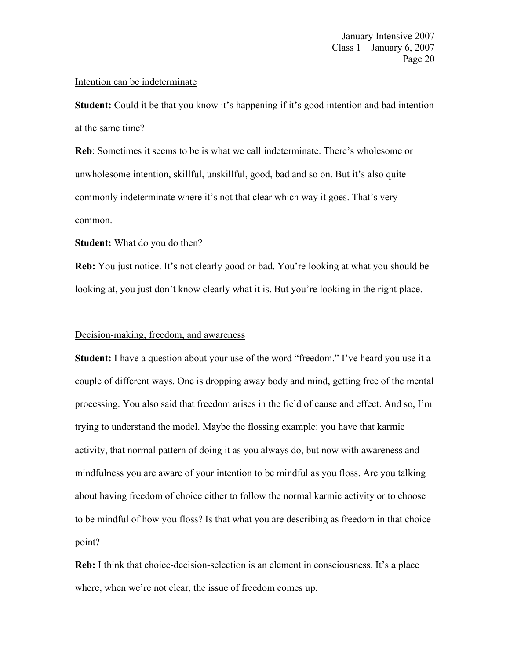## Intention can be indeterminate

**Student:** Could it be that you know it's happening if it's good intention and bad intention at the same time?

**Reb**: Sometimes it seems to be is what we call indeterminate. There's wholesome or unwholesome intention, skillful, unskillful, good, bad and so on. But it's also quite commonly indeterminate where it's not that clear which way it goes. That's very common.

## **Student:** What do you do then?

**Reb:** You just notice. It's not clearly good or bad. You're looking at what you should be looking at, you just don't know clearly what it is. But you're looking in the right place.

## Decision-making, freedom, and awareness

**Student:** I have a question about your use of the word "freedom." I've heard you use it a couple of different ways. One is dropping away body and mind, getting free of the mental processing. You also said that freedom arises in the field of cause and effect. And so, I'm trying to understand the model. Maybe the flossing example: you have that karmic activity, that normal pattern of doing it as you always do, but now with awareness and mindfulness you are aware of your intention to be mindful as you floss. Are you talking about having freedom of choice either to follow the normal karmic activity or to choose to be mindful of how you floss? Is that what you are describing as freedom in that choice point?

**Reb:** I think that choice-decision-selection is an element in consciousness. It's a place where, when we're not clear, the issue of freedom comes up.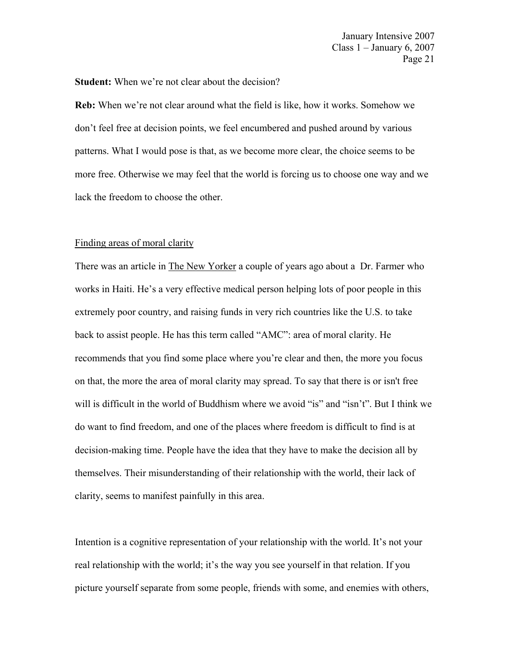**Student:** When we're not clear about the decision?

**Reb:** When we're not clear around what the field is like, how it works. Somehow we don't feel free at decision points, we feel encumbered and pushed around by various patterns. What I would pose is that, as we become more clear, the choice seems to be more free. Otherwise we may feel that the world is forcing us to choose one way and we lack the freedom to choose the other.

## Finding areas of moral clarity

There was an article in The New Yorker a couple of years ago about a Dr. Farmer who works in Haiti. He's a very effective medical person helping lots of poor people in this extremely poor country, and raising funds in very rich countries like the U.S. to take back to assist people. He has this term called "AMC": area of moral clarity. He recommends that you find some place where you're clear and then, the more you focus on that, the more the area of moral clarity may spread. To say that there is or isn't free will is difficult in the world of Buddhism where we avoid "is" and "isn't". But I think we do want to find freedom, and one of the places where freedom is difficult to find is at decision-making time. People have the idea that they have to make the decision all by themselves. Their misunderstanding of their relationship with the world, their lack of clarity, seems to manifest painfully in this area.

Intention is a cognitive representation of your relationship with the world. It's not your real relationship with the world; it's the way you see yourself in that relation. If you picture yourself separate from some people, friends with some, and enemies with others,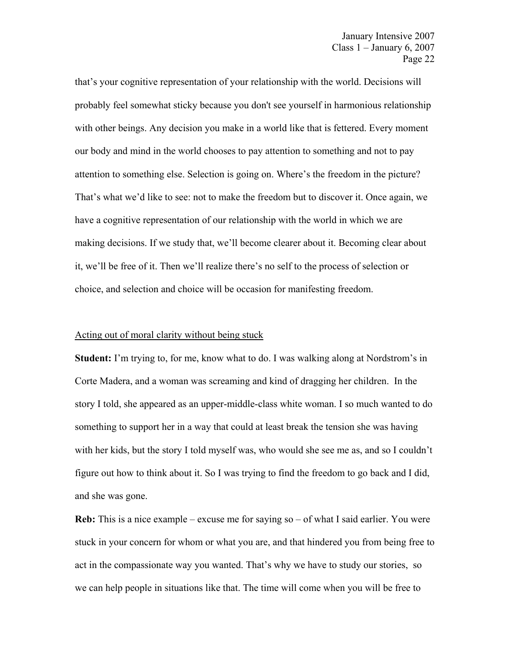that's your cognitive representation of your relationship with the world. Decisions will probably feel somewhat sticky because you don't see yourself in harmonious relationship with other beings. Any decision you make in a world like that is fettered. Every moment our body and mind in the world chooses to pay attention to something and not to pay attention to something else. Selection is going on. Where's the freedom in the picture? That's what we'd like to see: not to make the freedom but to discover it. Once again, we have a cognitive representation of our relationship with the world in which we are making decisions. If we study that, we'll become clearer about it. Becoming clear about it, we'll be free of it. Then we'll realize there's no self to the process of selection or choice, and selection and choice will be occasion for manifesting freedom.

#### Acting out of moral clarity without being stuck

**Student:** I'm trying to, for me, know what to do. I was walking along at Nordstrom's in Corte Madera, and a woman was screaming and kind of dragging her children. In the story I told, she appeared as an upper-middle-class white woman. I so much wanted to do something to support her in a way that could at least break the tension she was having with her kids, but the story I told myself was, who would she see me as, and so I couldn't figure out how to think about it. So I was trying to find the freedom to go back and I did, and she was gone.

**Reb:** This is a nice example – excuse me for saying so – of what I said earlier. You were stuck in your concern for whom or what you are, and that hindered you from being free to act in the compassionate way you wanted. That's why we have to study our stories, so we can help people in situations like that. The time will come when you will be free to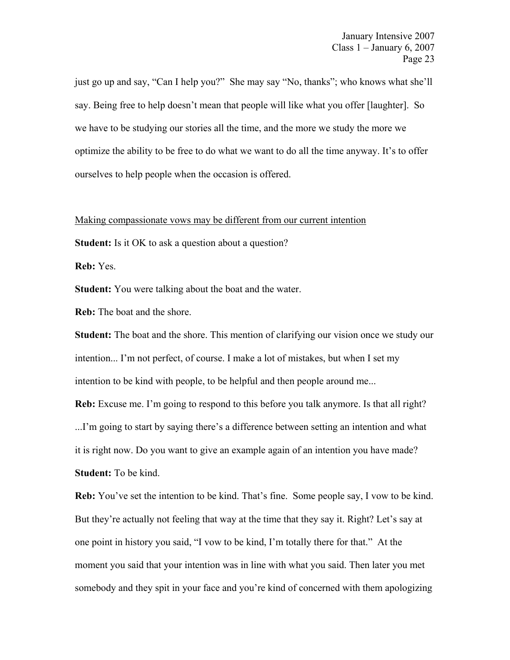January Intensive 2007 Class 1 – January 6, 2007 Page 23

just go up and say, "Can I help you?" She may say "No, thanks"; who knows what she'll say. Being free to help doesn't mean that people will like what you offer [laughter]. So we have to be studying our stories all the time, and the more we study the more we optimize the ability to be free to do what we want to do all the time anyway. It's to offer ourselves to help people when the occasion is offered.

## Making compassionate vows may be different from our current intention

**Student:** Is it OK to ask a question about a question?

**Reb:** Yes.

**Student:** You were talking about the boat and the water.

**Reb:** The boat and the shore.

**Student:** The boat and the shore. This mention of clarifying our vision once we study our intention... I'm not perfect, of course. I make a lot of mistakes, but when I set my intention to be kind with people, to be helpful and then people around me...

**Reb:** Excuse me. I'm going to respond to this before you talk anymore. Is that all right? ...I'm going to start by saying there's a difference between setting an intention and what it is right now. Do you want to give an example again of an intention you have made? **Student:** To be kind.

**Reb:** You've set the intention to be kind. That's fine. Some people say, I vow to be kind. But they're actually not feeling that way at the time that they say it. Right? Let's say at one point in history you said, "I vow to be kind, I'm totally there for that." At the moment you said that your intention was in line with what you said. Then later you met somebody and they spit in your face and you're kind of concerned with them apologizing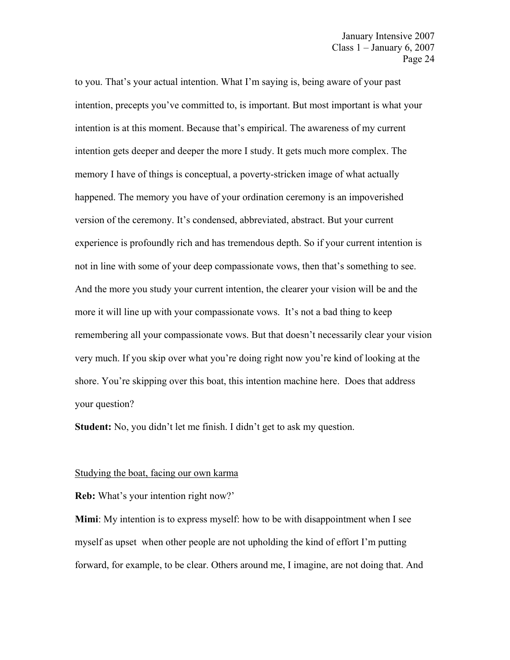to you. That's your actual intention. What I'm saying is, being aware of your past intention, precepts you've committed to, is important. But most important is what your intention is at this moment. Because that's empirical. The awareness of my current intention gets deeper and deeper the more I study. It gets much more complex. The memory I have of things is conceptual, a poverty-stricken image of what actually happened. The memory you have of your ordination ceremony is an impoverished version of the ceremony. It's condensed, abbreviated, abstract. But your current experience is profoundly rich and has tremendous depth. So if your current intention is not in line with some of your deep compassionate vows, then that's something to see. And the more you study your current intention, the clearer your vision will be and the more it will line up with your compassionate vows. It's not a bad thing to keep remembering all your compassionate vows. But that doesn't necessarily clear your vision very much. If you skip over what you're doing right now you're kind of looking at the shore. You're skipping over this boat, this intention machine here. Does that address your question?

**Student:** No, you didn't let me finish. I didn't get to ask my question.

#### Studying the boat, facing our own karma

**Reb:** What's your intention right now?'

**Mimi**: My intention is to express myself: how to be with disappointment when I see myself as upset when other people are not upholding the kind of effort I'm putting forward, for example, to be clear. Others around me, I imagine, are not doing that. And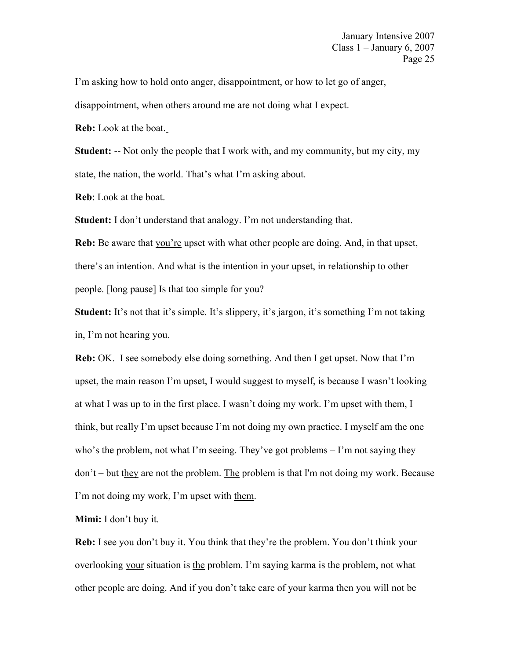I'm asking how to hold onto anger, disappointment, or how to let go of anger,

disappointment, when others around me are not doing what I expect.

**Reb:** Look at the boat.

**Student:** -- Not only the people that I work with, and my community, but my city, my state, the nation, the world. That's what I'm asking about.

**Reb**: Look at the boat.

**Student:** I don't understand that analogy. I'm not understanding that.

**Reb:** Be aware that you're upset with what other people are doing. And, in that upset, there's an intention. And what is the intention in your upset, in relationship to other people. [long pause] Is that too simple for you?

**Student:** It's not that it's simple. It's slippery, it's jargon, it's something I'm not taking in, I'm not hearing you.

**Reb:** OK. I see somebody else doing something. And then I get upset. Now that I'm upset, the main reason I'm upset, I would suggest to myself, is because I wasn't looking at what I was up to in the first place. I wasn't doing my work. I'm upset with them, I think, but really I'm upset because I'm not doing my own practice. I myself am the one who's the problem, not what I'm seeing. They've got problems – I'm not saying they  $don't - but they are not the problem. The problem is that I'm not doing my work. Because$ I'm not doing my work, I'm upset with them.

**Mimi:** I don't buy it.

**Reb:** I see you don't buy it. You think that they're the problem. You don't think your overlooking your situation is the problem. I'm saying karma is the problem, not what other people are doing. And if you don't take care of your karma then you will not be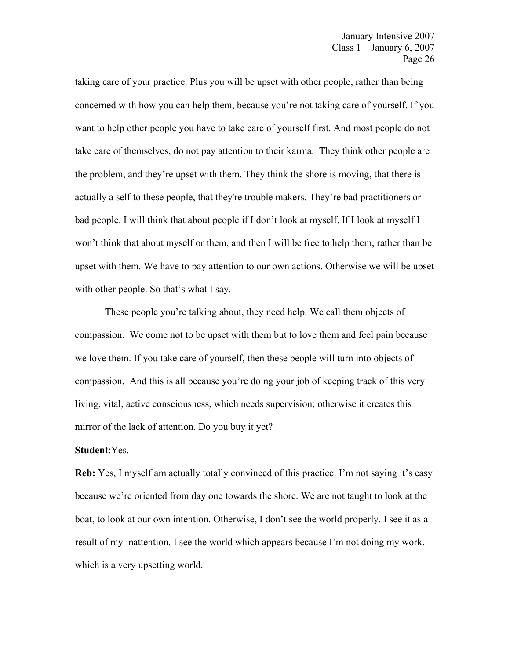taking care of your practice. Plus you will be upset with other people, rather than being concerned with how you can help them, because you're not taking care of yourself. If you want to help other people you have to take care of yourself first. And most people do not take care of themselves, do not pay attention to their karma. They think other people are the problem, and they're upset with them. They think the shore is moving, that there is actually a self to these people, that they're trouble makers. They're bad practitioners or bad people. I will think that about people if I don't look at myself. If I look at myself I won't think that about myself or them, and then I will be free to help them, rather than be upset with them. We have to pay attention to our own actions. Otherwise we will be upset with other people. So that's what I say.

 These people you're talking about, they need help. We call them objects of compassion. We come not to be upset with them but to love them and feel pain because we love them. If you take care of yourself, then these people will turn into objects of compassion. And this is all because you're doing your job of keeping track of this very living, vital, active consciousness, which needs supervision; otherwise it creates this mirror of the lack of attention. Do you buy it yet?

## **Student**:Yes.

**Reb:** Yes, I myself am actually totally convinced of this practice. I'm not saying it's easy because we're oriented from day one towards the shore. We are not taught to look at the boat, to look at our own intention. Otherwise, I don't see the world properly. I see it as a result of my inattention. I see the world which appears because I'm not doing my work, which is a very upsetting world.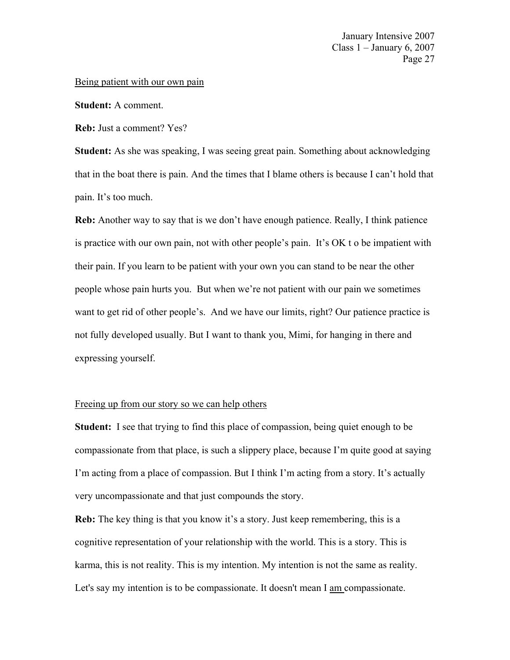## Being patient with our own pain

**Student:** A comment.

**Reb:** Just a comment? Yes?

**Student:** As she was speaking, I was seeing great pain. Something about acknowledging that in the boat there is pain. And the times that I blame others is because I can't hold that pain. It's too much.

**Reb:** Another way to say that is we don't have enough patience. Really, I think patience is practice with our own pain, not with other people's pain. It's OK t o be impatient with their pain. If you learn to be patient with your own you can stand to be near the other people whose pain hurts you. But when we're not patient with our pain we sometimes want to get rid of other people's. And we have our limits, right? Our patience practice is not fully developed usually. But I want to thank you, Mimi, for hanging in there and expressing yourself.

# Freeing up from our story so we can help others

**Student:** I see that trying to find this place of compassion, being quiet enough to be compassionate from that place, is such a slippery place, because I'm quite good at saying I'm acting from a place of compassion. But I think I'm acting from a story. It's actually very uncompassionate and that just compounds the story.

**Reb:** The key thing is that you know it's a story. Just keep remembering, this is a cognitive representation of your relationship with the world. This is a story. This is karma, this is not reality. This is my intention. My intention is not the same as reality. Let's say my intention is to be compassionate. It doesn't mean I am compassionate.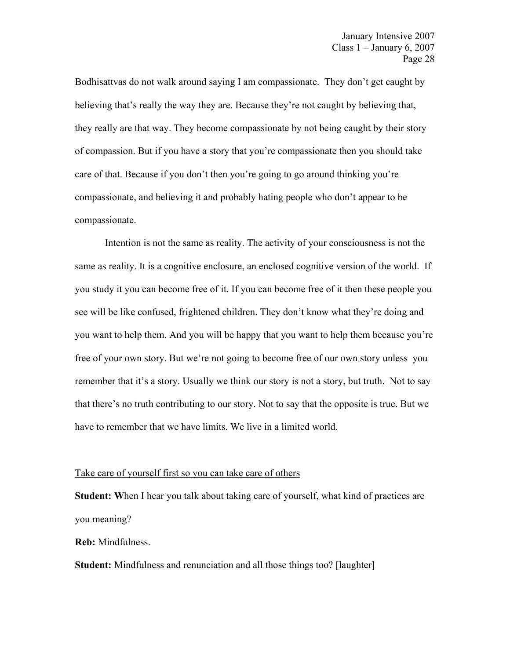Bodhisattvas do not walk around saying I am compassionate. They don't get caught by believing that's really the way they are. Because they're not caught by believing that, they really are that way. They become compassionate by not being caught by their story of compassion. But if you have a story that you're compassionate then you should take care of that. Because if you don't then you're going to go around thinking you're compassionate, and believing it and probably hating people who don't appear to be compassionate.

 Intention is not the same as reality. The activity of your consciousness is not the same as reality. It is a cognitive enclosure, an enclosed cognitive version of the world. If you study it you can become free of it. If you can become free of it then these people you see will be like confused, frightened children. They don't know what they're doing and you want to help them. And you will be happy that you want to help them because you're free of your own story. But we're not going to become free of our own story unless you remember that it's a story. Usually we think our story is not a story, but truth. Not to say that there's no truth contributing to our story. Not to say that the opposite is true. But we have to remember that we have limits. We live in a limited world.

#### Take care of yourself first so you can take care of others

**Student: W**hen I hear you talk about taking care of yourself, what kind of practices are you meaning?

**Reb:** Mindfulness.

**Student:** Mindfulness and renunciation and all those things too? [laughter]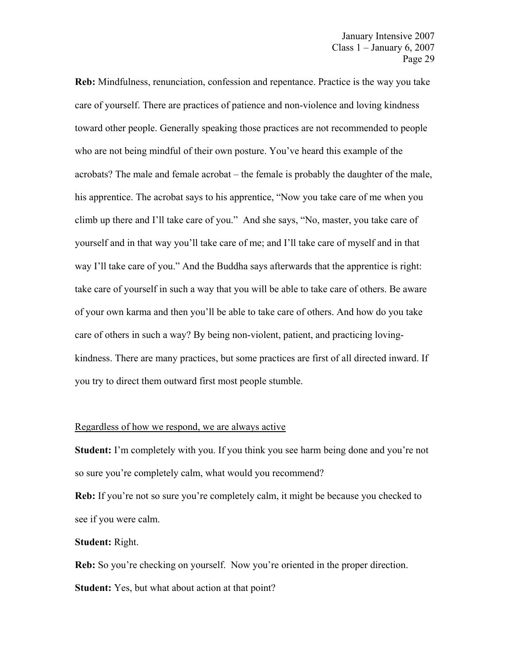**Reb:** Mindfulness, renunciation, confession and repentance. Practice is the way you take care of yourself. There are practices of patience and non-violence and loving kindness toward other people. Generally speaking those practices are not recommended to people who are not being mindful of their own posture. You've heard this example of the acrobats? The male and female acrobat – the female is probably the daughter of the male, his apprentice. The acrobat says to his apprentice, "Now you take care of me when you climb up there and I'll take care of you." And she says, "No, master, you take care of yourself and in that way you'll take care of me; and I'll take care of myself and in that way I'll take care of you." And the Buddha says afterwards that the apprentice is right: take care of yourself in such a way that you will be able to take care of others. Be aware of your own karma and then you'll be able to take care of others. And how do you take care of others in such a way? By being non-violent, patient, and practicing lovingkindness. There are many practices, but some practices are first of all directed inward. If you try to direct them outward first most people stumble.

### Regardless of how we respond, we are always active

**Student:** I'm completely with you. If you think you see harm being done and you're not so sure you're completely calm, what would you recommend?

**Reb:** If you're not so sure you're completely calm, it might be because you checked to see if you were calm.

## **Student:** Right.

**Reb:** So you're checking on yourself. Now you're oriented in the proper direction. **Student:** Yes, but what about action at that point?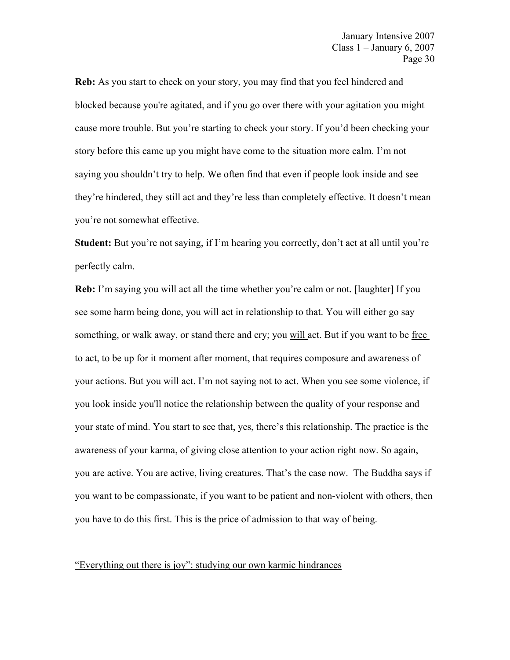**Reb:** As you start to check on your story, you may find that you feel hindered and blocked because you're agitated, and if you go over there with your agitation you might cause more trouble. But you're starting to check your story. If you'd been checking your story before this came up you might have come to the situation more calm. I'm not saying you shouldn't try to help. We often find that even if people look inside and see they're hindered, they still act and they're less than completely effective. It doesn't mean you're not somewhat effective.

**Student:** But you're not saying, if I'm hearing you correctly, don't act at all until you're perfectly calm.

**Reb:** I'm saying you will act all the time whether you're calm or not. [laughter] If you see some harm being done, you will act in relationship to that. You will either go say something, or walk away, or stand there and cry; you will act. But if you want to be free to act, to be up for it moment after moment, that requires composure and awareness of your actions. But you will act. I'm not saying not to act. When you see some violence, if you look inside you'll notice the relationship between the quality of your response and your state of mind. You start to see that, yes, there's this relationship. The practice is the awareness of your karma, of giving close attention to your action right now. So again, you are active. You are active, living creatures. That's the case now. The Buddha says if you want to be compassionate, if you want to be patient and non-violent with others, then you have to do this first. This is the price of admission to that way of being.

## "Everything out there is joy": studying our own karmic hindrances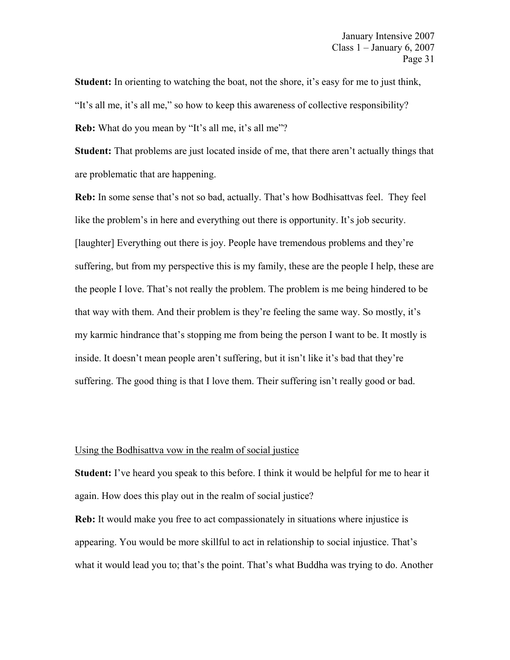Student: In orienting to watching the boat, not the shore, it's easy for me to just think, "It's all me, it's all me," so how to keep this awareness of collective responsibility? **Reb:** What do you mean by "It's all me, it's all me"?

**Student:** That problems are just located inside of me, that there aren't actually things that are problematic that are happening.

**Reb:** In some sense that's not so bad, actually. That's how Bodhisattvas feel. They feel like the problem's in here and everything out there is opportunity. It's job security. [laughter] Everything out there is joy. People have tremendous problems and they're suffering, but from my perspective this is my family, these are the people I help, these are the people I love. That's not really the problem. The problem is me being hindered to be that way with them. And their problem is they're feeling the same way. So mostly, it's my karmic hindrance that's stopping me from being the person I want to be. It mostly is inside. It doesn't mean people aren't suffering, but it isn't like it's bad that they're suffering. The good thing is that I love them. Their suffering isn't really good or bad.

# Using the Bodhisattva vow in the realm of social justice

**Student:** I've heard you speak to this before. I think it would be helpful for me to hear it again. How does this play out in the realm of social justice?

**Reb:** It would make you free to act compassionately in situations where injustice is appearing. You would be more skillful to act in relationship to social injustice. That's what it would lead you to; that's the point. That's what Buddha was trying to do. Another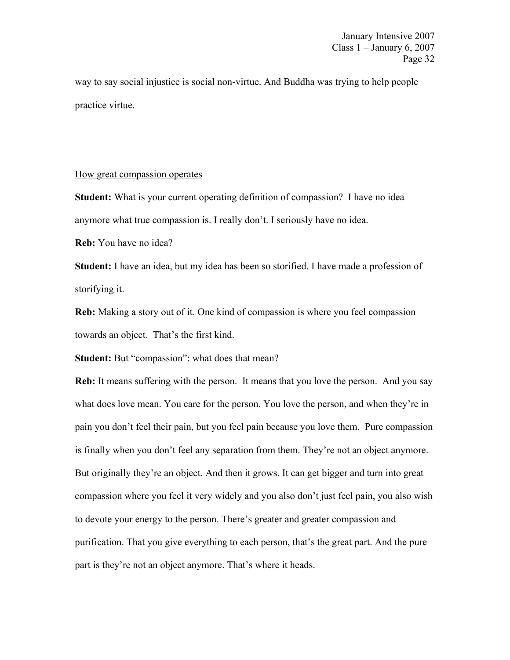way to say social injustice is social non-virtue. And Buddha was trying to help people practice virtue.

## How great compassion operates

**Student:** What is your current operating definition of compassion? I have no idea anymore what true compassion is. I really don't. I seriously have no idea.

**Reb:** You have no idea?

**Student:** I have an idea, but my idea has been so storified. I have made a profession of storifying it.

**Reb:** Making a story out of it. One kind of compassion is where you feel compassion towards an object. That's the first kind.

**Student:** But "compassion": what does that mean?

**Reb:** It means suffering with the person. It means that you love the person. And you say what does love mean. You care for the person. You love the person, and when they're in pain you don't feel their pain, but you feel pain because you love them. Pure compassion is finally when you don't feel any separation from them. They're not an object anymore. But originally they're an object. And then it grows. It can get bigger and turn into great compassion where you feel it very widely and you also don't just feel pain, you also wish to devote your energy to the person. There's greater and greater compassion and purification. That you give everything to each person, that's the great part. And the pure part is they're not an object anymore. That's where it heads.